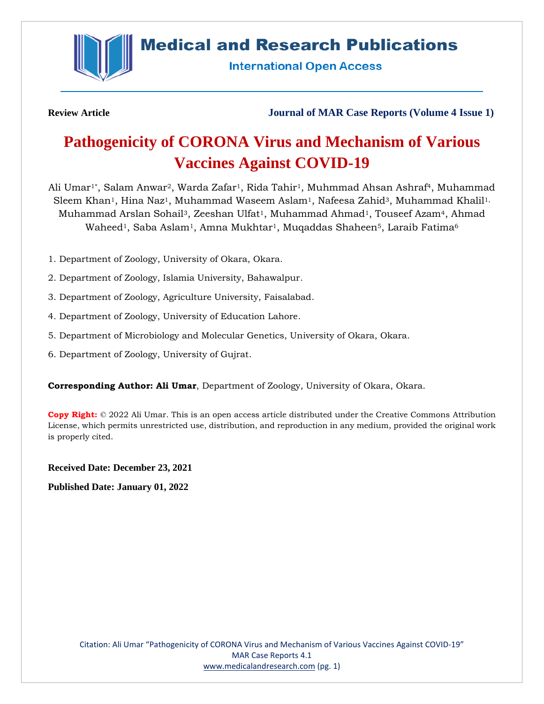

## **Medical and Research Publications**

**International Open Access** 

**Review Article Journal of MAR Case Reports (Volume 4 Issue 1)**

# **Pathogenicity of CORONA Virus and Mechanism of Various Vaccines Against COVID-19**

Ali Umar1\*, Salam Anwar2, Warda Zafar1, Rida Tahir1, Muhmmad Ahsan Ashraf4, Muhammad Sleem Khan<sup>1</sup>, Hina Naz<sup>1</sup>, Muhammad Waseem Aslam<sup>1</sup>, Nafeesa Zahid<sup>3</sup>, Muhammad Khalil<sup>1,</sup> Muhammad Arslan Sohail<sup>3</sup>, Zeeshan Ulfat<sup>1</sup>, Muhammad Ahmad<sup>1</sup>, Touseef Azam<sup>4</sup>, Ahmad Waheed<sup>1</sup>, Saba Aslam<sup>1</sup>, Amna Mukhtar<sup>1</sup>, Muqaddas Shaheen<sup>5</sup>, Laraib Fatima<sup>6</sup>

- 1. Department of Zoology, University of Okara, Okara.
- 2. Department of Zoology, Islamia University, Bahawalpur.
- 3. Department of Zoology, Agriculture University, Faisalabad.
- 4. Department of Zoology, University of Education Lahore.
- 5. Department of Microbiology and Molecular Genetics, University of Okara, Okara.
- 6. Department of Zoology, University of Gujrat.

**Corresponding Author: Ali Umar**, Department of Zoology, University of Okara, Okara.

**Copy Right:** © 2022 Ali Umar. This is an open access article distributed under the Creative Commons Attribution License, which permits unrestricted use, distribution, and reproduction in any medium, provided the original work is properly cited.

**Received Date: December 23, 2021**

**Published Date: January 01, 2022**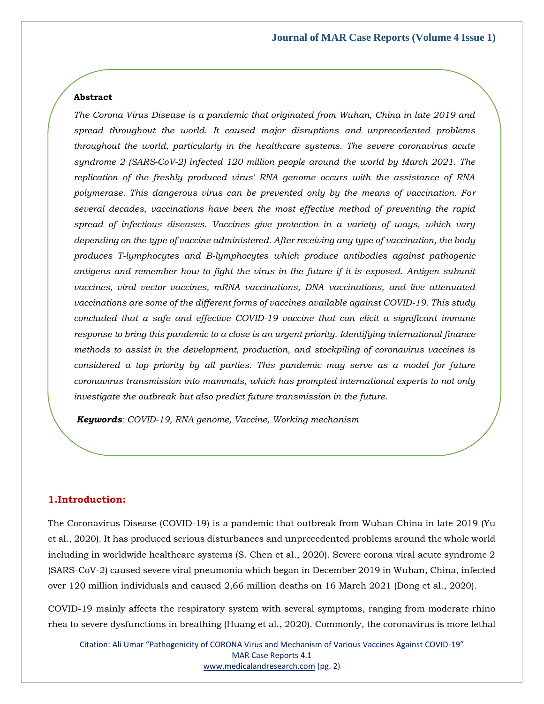## **Abstract**

*The Corona Virus Disease is a pandemic that originated from Wuhan, China in late 2019 and spread throughout the world. It caused major disruptions and unprecedented problems throughout the world, particularly in the healthcare systems. The severe coronavirus acute syndrome 2 (SARS-CoV-2) infected 120 million people around the world by March 2021. The replication of the freshly produced virus' RNA genome occurs with the assistance of RNA polymerase. This dangerous virus can be prevented only by the means of vaccination. For several decades, vaccinations have been the most effective method of preventing the rapid spread of infectious diseases. Vaccines give protection in a variety of ways, which vary depending on the type of vaccine administered. After receiving any type of vaccination, the body produces T-lymphocytes and B-lymphocytes which produce antibodies against pathogenic antigens and remember how to fight the virus in the future if it is exposed. Antigen subunit vaccines, viral vector vaccines, mRNA vaccinations, DNA vaccinations, and live attenuated vaccinations are some of the different forms of vaccines available against COVID-19. This study concluded that a safe and effective COVID-19 vaccine that can elicit a significant immune response to bring this pandemic to a close is an urgent priority. Identifying international finance methods to assist in the development, production, and stockpiling of coronavirus vaccines is considered a top priority by all parties. This pandemic may serve as a model for future coronavirus transmission into mammals, which has prompted international experts to not only investigate the outbreak but also predict future transmission in the future.* 

*Keywords: COVID-19, RNA genome, Vaccine, Working mechanism* 

## **1.Introduction:**

The Coronavirus Disease (COVID-19) is a pandemic that outbreak from Wuhan China in late 2019 (Yu et al., 2020). It has produced serious disturbances and unprecedented problems around the whole world including in worldwide healthcare systems (S. Chen et al., 2020). Severe corona viral acute syndrome 2 (SARS-CoV-2) caused severe viral pneumonia which began in December 2019 in Wuhan, China, infected over 120 million individuals and caused 2,66 million deaths on 16 March 2021 (Dong et al., 2020).

COVID-19 mainly affects the respiratory system with several symptoms, ranging from moderate rhino rhea to severe dysfunctions in breathing (Huang et al., 2020). Commonly, the coronavirus is more lethal

Citation: Ali Umar "Pathogenicity of CORONA Virus and Mechanism of Various Vaccines Against COVID-19" MAR Case Reports 4.1 [www.medicalandresearch.com](http://www.medicalandresearch.com/) (pg. 2)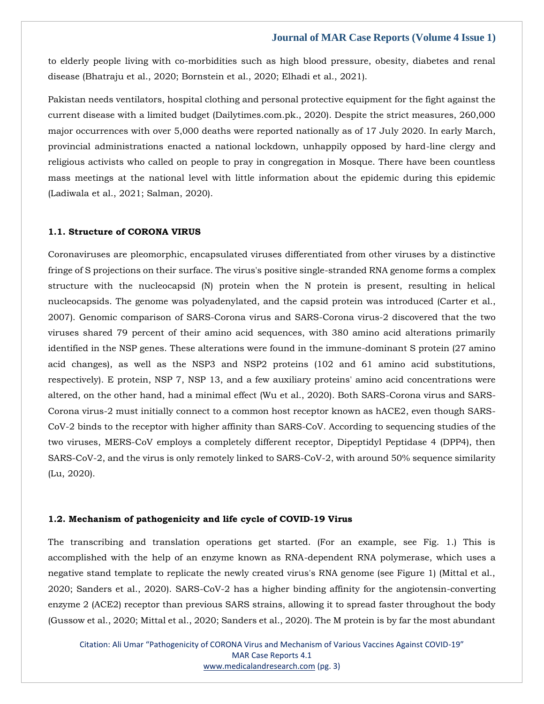to elderly people living with co-morbidities such as high blood pressure, obesity, diabetes and renal disease (Bhatraju et al., 2020; Bornstein et al., 2020; Elhadi et al., 2021).

Pakistan needs ventilators, hospital clothing and personal protective equipment for the fight against the current disease with a limited budget (Dailytimes.com.pk., 2020). Despite the strict measures, 260,000 major occurrences with over 5,000 deaths were reported nationally as of 17 July 2020. In early March, provincial administrations enacted a national lockdown, unhappily opposed by hard-line clergy and religious activists who called on people to pray in congregation in Mosque. There have been countless mass meetings at the national level with little information about the epidemic during this epidemic (Ladiwala et al., 2021; Salman, 2020).

## **1.1. Structure of CORONA VIRUS**

Coronaviruses are pleomorphic, encapsulated viruses differentiated from other viruses by a distinctive fringe of S projections on their surface. The virus's positive single-stranded RNA genome forms a complex structure with the nucleocapsid (N) protein when the N protein is present, resulting in helical nucleocapsids. The genome was polyadenylated, and the capsid protein was introduced (Carter et al., 2007). Genomic comparison of SARS-Corona virus and SARS-Corona virus-2 discovered that the two viruses shared 79 percent of their amino acid sequences, with 380 amino acid alterations primarily identified in the NSP genes. These alterations were found in the immune-dominant S protein (27 amino acid changes), as well as the NSP3 and NSP2 proteins (102 and 61 amino acid substitutions, respectively). E protein, NSP 7, NSP 13, and a few auxiliary proteins' amino acid concentrations were altered, on the other hand, had a minimal effect (Wu et al., 2020). Both SARS-Corona virus and SARS-Corona virus-2 must initially connect to a common host receptor known as hACE2, even though SARS-CoV-2 binds to the receptor with higher affinity than SARS-CoV. According to sequencing studies of the two viruses, MERS-CoV employs a completely different receptor, Dipeptidyl Peptidase 4 (DPP4), then SARS-CoV-2, and the virus is only remotely linked to SARS-CoV-2, with around 50% sequence similarity (Lu, 2020).

#### **1.2. Mechanism of pathogenicity and life cycle of COVID-19 Virus**

The transcribing and translation operations get started. (For an example, see Fig. 1.) This is accomplished with the help of an enzyme known as RNA-dependent RNA polymerase, which uses a negative stand template to replicate the newly created virus's RNA genome (see Figure 1) (Mittal et al., 2020; Sanders et al., 2020). SARS-CoV-2 has a higher binding affinity for the angiotensin-converting enzyme 2 (ACE2) receptor than previous SARS strains, allowing it to spread faster throughout the body (Gussow et al., 2020; Mittal et al., 2020; Sanders et al., 2020). The M protein is by far the most abundant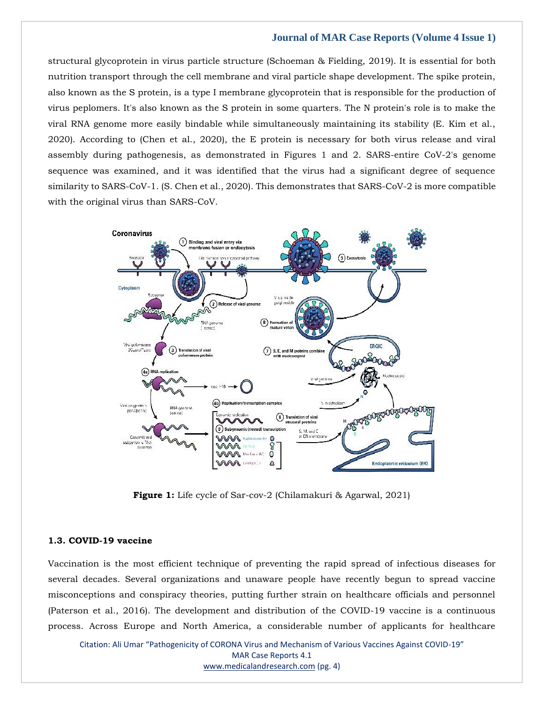structural glycoprotein in virus particle structure (Schoeman & Fielding, 2019). It is essential for both nutrition transport through the cell membrane and viral particle shape development. The spike protein, also known as the S protein, is a type I membrane glycoprotein that is responsible for the production of virus peplomers. It's also known as the S protein in some quarters. The N protein's role is to make the viral RNA genome more easily bindable while simultaneously maintaining its stability (E. Kim et al., 2020). According to (Chen et al., 2020), the E protein is necessary for both virus release and viral assembly during pathogenesis, as demonstrated in Figures 1 and 2. SARS-entire CoV-2's genome sequence was examined, and it was identified that the virus had a significant degree of sequence similarity to SARS-CoV-1. (S. Chen et al., 2020). This demonstrates that SARS-CoV-2 is more compatible with the original virus than SARS-CoV.



**Figure 1:** Life cycle of Sar-cov-2 (Chilamakuri & Agarwal, 2021)

## **1.3. COVID-19 vaccine**

Vaccination is the most efficient technique of preventing the rapid spread of infectious diseases for several decades. Several organizations and unaware people have recently begun to spread vaccine misconceptions and conspiracy theories, putting further strain on healthcare officials and personnel (Paterson et al., 2016). The development and distribution of the COVID-19 vaccine is a continuous process. Across Europe and North America, a considerable number of applicants for healthcare

Citation: Ali Umar "Pathogenicity of CORONA Virus and Mechanism of Various Vaccines Against COVID-19" MAR Case Reports 4.1 [www.medicalandresearch.com](http://www.medicalandresearch.com/) (pg. 4)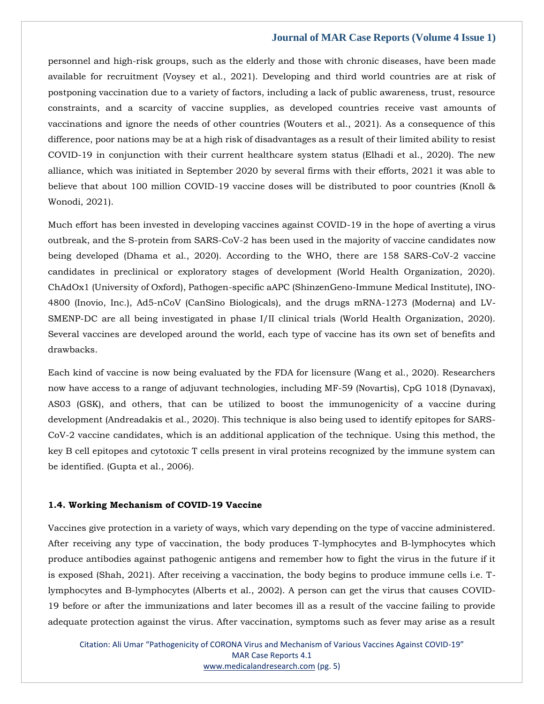personnel and high-risk groups, such as the elderly and those with chronic diseases, have been made available for recruitment (Voysey et al., 2021). Developing and third world countries are at risk of postponing vaccination due to a variety of factors, including a lack of public awareness, trust, resource constraints, and a scarcity of vaccine supplies, as developed countries receive vast amounts of vaccinations and ignore the needs of other countries (Wouters et al., 2021). As a consequence of this difference, poor nations may be at a high risk of disadvantages as a result of their limited ability to resist COVID-19 in conjunction with their current healthcare system status (Elhadi et al., 2020). The new alliance, which was initiated in September 2020 by several firms with their efforts, 2021 it was able to believe that about 100 million COVID-19 vaccine doses will be distributed to poor countries (Knoll & Wonodi, 2021).

Much effort has been invested in developing vaccines against COVID-19 in the hope of averting a virus outbreak, and the S-protein from SARS-CoV-2 has been used in the majority of vaccine candidates now being developed (Dhama et al., 2020). According to the WHO, there are 158 SARS-CoV-2 vaccine candidates in preclinical or exploratory stages of development (World Health Organization, 2020). ChAdOx1 (University of Oxford), Pathogen-specific aAPC (ShinzenGeno-Immune Medical Institute), INO-4800 (Inovio, Inc.), Ad5-nCoV (CanSino Biologicals), and the drugs mRNA-1273 (Moderna) and LV-SMENP-DC are all being investigated in phase I/II clinical trials (World Health Organization, 2020). Several vaccines are developed around the world, each type of vaccine has its own set of benefits and drawbacks.

Each kind of vaccine is now being evaluated by the FDA for licensure (Wang et al., 2020). Researchers now have access to a range of adjuvant technologies, including MF-59 (Novartis), CpG 1018 (Dynavax), AS03 (GSK), and others, that can be utilized to boost the immunogenicity of a vaccine during development (Andreadakis et al., 2020). This technique is also being used to identify epitopes for SARS-CoV-2 vaccine candidates, which is an additional application of the technique. Using this method, the key B cell epitopes and cytotoxic T cells present in viral proteins recognized by the immune system can be identified. (Gupta et al., 2006).

## **1.4. Working Mechanism of COVID-19 Vaccine**

Vaccines give protection in a variety of ways, which vary depending on the type of vaccine administered. After receiving any type of vaccination, the body produces T-lymphocytes and B-lymphocytes which produce antibodies against pathogenic antigens and remember how to fight the virus in the future if it is exposed (Shah, 2021). After receiving a vaccination, the body begins to produce immune cells i.e. Tlymphocytes and B-lymphocytes (Alberts et al., 2002). A person can get the virus that causes COVID-19 before or after the immunizations and later becomes ill as a result of the vaccine failing to provide adequate protection against the virus. After vaccination, symptoms such as fever may arise as a result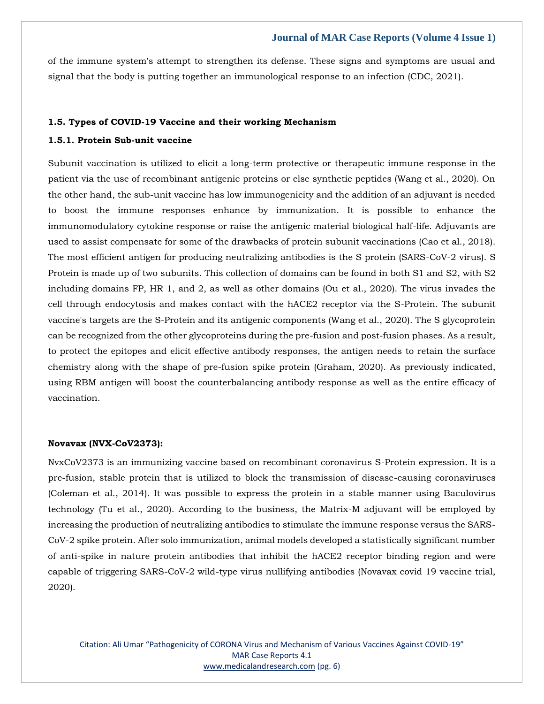of the immune system's attempt to strengthen its defense. These signs and symptoms are usual and signal that the body is putting together an immunological response to an infection (CDC, 2021).

## **1.5. Types of COVID-19 Vaccine and their working Mechanism**

## **1.5.1. Protein Sub-unit vaccine**

Subunit vaccination is utilized to elicit a long-term protective or therapeutic immune response in the patient via the use of recombinant antigenic proteins or else synthetic peptides (Wang et al., 2020). On the other hand, the sub-unit vaccine has low immunogenicity and the addition of an adjuvant is needed to boost the immune responses enhance by immunization. It is possible to enhance the immunomodulatory cytokine response or raise the antigenic material biological half-life. Adjuvants are used to assist compensate for some of the drawbacks of protein subunit vaccinations (Cao et al., 2018). The most efficient antigen for producing neutralizing antibodies is the S protein (SARS-CoV-2 virus). S Protein is made up of two subunits. This collection of domains can be found in both S1 and S2, with S2 including domains FP, HR 1, and 2, as well as other domains (Ou et al., 2020). The virus invades the cell through endocytosis and makes contact with the hACE2 receptor via the S-Protein. The subunit vaccine's targets are the S-Protein and its antigenic components (Wang et al., 2020). The S glycoprotein can be recognized from the other glycoproteins during the pre-fusion and post-fusion phases. As a result, to protect the epitopes and elicit effective antibody responses, the antigen needs to retain the surface chemistry along with the shape of pre-fusion spike protein (Graham, 2020). As previously indicated, using RBM antigen will boost the counterbalancing antibody response as well as the entire efficacy of vaccination.

#### **Novavax (NVX-CoV2373):**

NvxCoV2373 is an immunizing vaccine based on recombinant coronavirus S-Protein expression. It is a pre-fusion, stable protein that is utilized to block the transmission of disease-causing coronaviruses (Coleman et al., 2014). It was possible to express the protein in a stable manner using Baculovirus technology (Tu et al., 2020). According to the business, the Matrix-M adjuvant will be employed by increasing the production of neutralizing antibodies to stimulate the immune response versus the SARS-CoV-2 spike protein. After solo immunization, animal models developed a statistically significant number of anti-spike in nature protein antibodies that inhibit the hACE2 receptor binding region and were capable of triggering SARS-CoV-2 wild-type virus nullifying antibodies (Novavax covid 19 vaccine trial, 2020).

Citation: Ali Umar "Pathogenicity of CORONA Virus and Mechanism of Various Vaccines Against COVID-19" MAR Case Reports 4.1 [www.medicalandresearch.com](http://www.medicalandresearch.com/) (pg. 6)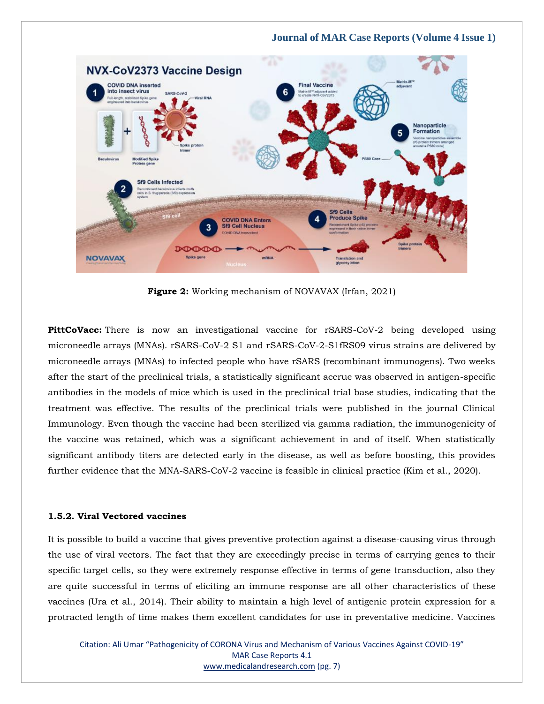

**Figure 2:** Working mechanism of NOVAVAX (Irfan, 2021)

**PittCoVacc:** There is now an investigational vaccine for rSARS-CoV-2 being developed using microneedle arrays (MNAs). rSARS-CoV-2 S1 and rSARS-CoV-2-S1fRS09 virus strains are delivered by microneedle arrays (MNAs) to infected people who have rSARS (recombinant immunogens). Two weeks after the start of the preclinical trials, a statistically significant accrue was observed in antigen-specific antibodies in the models of mice which is used in the preclinical trial base studies, indicating that the treatment was effective. The results of the preclinical trials were published in the journal Clinical Immunology. Even though the vaccine had been sterilized via gamma radiation, the immunogenicity of the vaccine was retained, which was a significant achievement in and of itself. When statistically significant antibody titers are detected early in the disease, as well as before boosting, this provides further evidence that the MNA-SARS-CoV-2 vaccine is feasible in clinical practice (Kim et al., 2020).

## **1.5.2. Viral Vectored vaccines**

It is possible to build a vaccine that gives preventive protection against a disease-causing virus through the use of viral vectors. The fact that they are exceedingly precise in terms of carrying genes to their specific target cells, so they were extremely response effective in terms of gene transduction, also they are quite successful in terms of eliciting an immune response are all other characteristics of these vaccines (Ura et al., 2014). Their ability to maintain a high level of antigenic protein expression for a protracted length of time makes them excellent candidates for use in preventative medicine. Vaccines

Citation: Ali Umar "Pathogenicity of CORONA Virus and Mechanism of Various Vaccines Against COVID-19" MAR Case Reports 4.1 [www.medicalandresearch.com](http://www.medicalandresearch.com/) (pg. 7)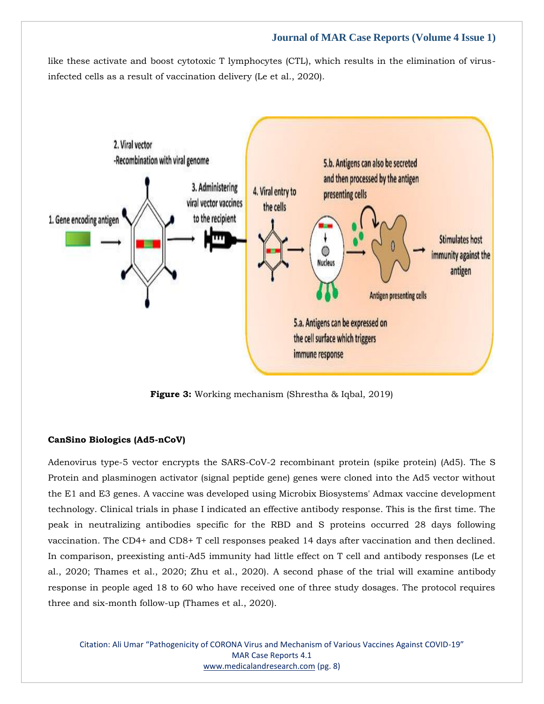like these activate and boost cytotoxic T lymphocytes (CTL), which results in the elimination of virusinfected cells as a result of vaccination delivery (Le et al., 2020).



**Figure 3:** Working mechanism (Shrestha & Iqbal, 2019)

## **CanSino Biologics (Ad5-nCoV)**

Adenovirus type-5 vector encrypts the SARS-CoV-2 recombinant protein (spike protein) (Ad5). The S Protein and plasminogen activator (signal peptide gene) genes were cloned into the Ad5 vector without the E1 and E3 genes. A vaccine was developed using Microbix Biosystems' Admax vaccine development technology. Clinical trials in phase I indicated an effective antibody response. This is the first time. The peak in neutralizing antibodies specific for the RBD and S proteins occurred 28 days following vaccination. The CD4+ and CD8+ T cell responses peaked 14 days after vaccination and then declined. In comparison, preexisting anti-Ad5 immunity had little effect on T cell and antibody responses (Le et al., 2020; Thames et al., 2020; Zhu et al., 2020). A second phase of the trial will examine antibody response in people aged 18 to 60 who have received one of three study dosages. The protocol requires three and six-month follow-up (Thames et al., 2020).

Citation: Ali Umar "Pathogenicity of CORONA Virus and Mechanism of Various Vaccines Against COVID-19" MAR Case Reports 4.1 [www.medicalandresearch.com](http://www.medicalandresearch.com/) (pg. 8)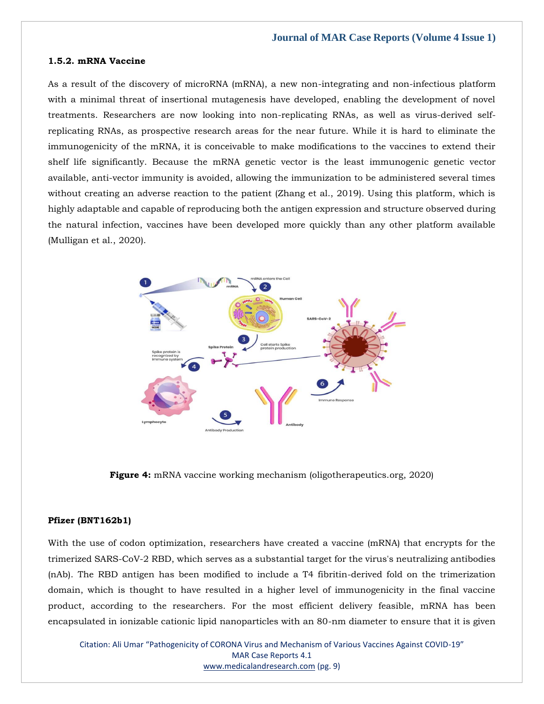## **1.5.2. mRNA Vaccine**

As a result of the discovery of microRNA (mRNA), a new non-integrating and non-infectious platform with a minimal threat of insertional mutagenesis have developed, enabling the development of novel treatments. Researchers are now looking into non-replicating RNAs, as well as virus-derived selfreplicating RNAs, as prospective research areas for the near future. While it is hard to eliminate the immunogenicity of the mRNA, it is conceivable to make modifications to the vaccines to extend their shelf life significantly. Because the mRNA genetic vector is the least immunogenic genetic vector available, anti-vector immunity is avoided, allowing the immunization to be administered several times without creating an adverse reaction to the patient (Zhang et al., 2019). Using this platform, which is highly adaptable and capable of reproducing both the antigen expression and structure observed during the natural infection, vaccines have been developed more quickly than any other platform available (Mulligan et al., 2020).



**Figure 4:** mRNA vaccine working mechanism (oligotherapeutics.org, 2020)

## **Pfizer (BNT162b1)**

With the use of codon optimization, researchers have created a vaccine (mRNA) that encrypts for the trimerized SARS-CoV-2 RBD, which serves as a substantial target for the virus's neutralizing antibodies (nAb). The RBD antigen has been modified to include a T4 fibritin-derived fold on the trimerization domain, which is thought to have resulted in a higher level of immunogenicity in the final vaccine product, according to the researchers. For the most efficient delivery feasible, mRNA has been encapsulated in ionizable cationic lipid nanoparticles with an 80-nm diameter to ensure that it is given

Citation: Ali Umar "Pathogenicity of CORONA Virus and Mechanism of Various Vaccines Against COVID-19" MAR Case Reports 4.1 [www.medicalandresearch.com](http://www.medicalandresearch.com/) (pg. 9)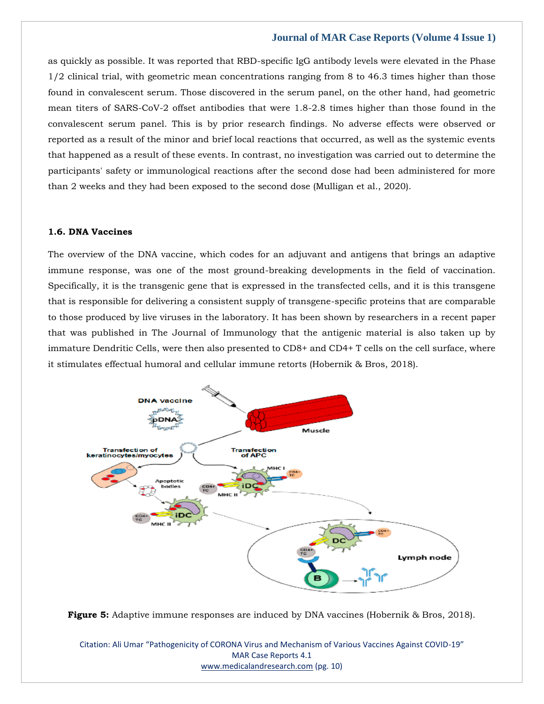as quickly as possible. It was reported that RBD-specific IgG antibody levels were elevated in the Phase 1/2 clinical trial, with geometric mean concentrations ranging from 8 to 46.3 times higher than those found in convalescent serum. Those discovered in the serum panel, on the other hand, had geometric mean titers of SARS-CoV-2 offset antibodies that were 1.8-2.8 times higher than those found in the convalescent serum panel. This is by prior research findings. No adverse effects were observed or reported as a result of the minor and brief local reactions that occurred, as well as the systemic events that happened as a result of these events. In contrast, no investigation was carried out to determine the participants' safety or immunological reactions after the second dose had been administered for more than 2 weeks and they had been exposed to the second dose (Mulligan et al., 2020).

## **1.6. DNA Vaccines**

The overview of the DNA vaccine, which codes for an adjuvant and antigens that brings an adaptive immune response, was one of the most ground-breaking developments in the field of vaccination. Specifically, it is the transgenic gene that is expressed in the transfected cells, and it is this transgene that is responsible for delivering a consistent supply of transgene-specific proteins that are comparable to those produced by live viruses in the laboratory. It has been shown by researchers in a recent paper that was published in The Journal of Immunology that the antigenic material is also taken up by immature Dendritic Cells, were then also presented to CD8+ and CD4+ T cells on the cell surface, where it stimulates effectual humoral and cellular immune retorts (Hobernik & Bros, 2018).





Citation: Ali Umar "Pathogenicity of CORONA Virus and Mechanism of Various Vaccines Against COVID-19" MAR Case Reports 4.1 [www.medicalandresearch.com](http://www.medicalandresearch.com/) (pg. 10)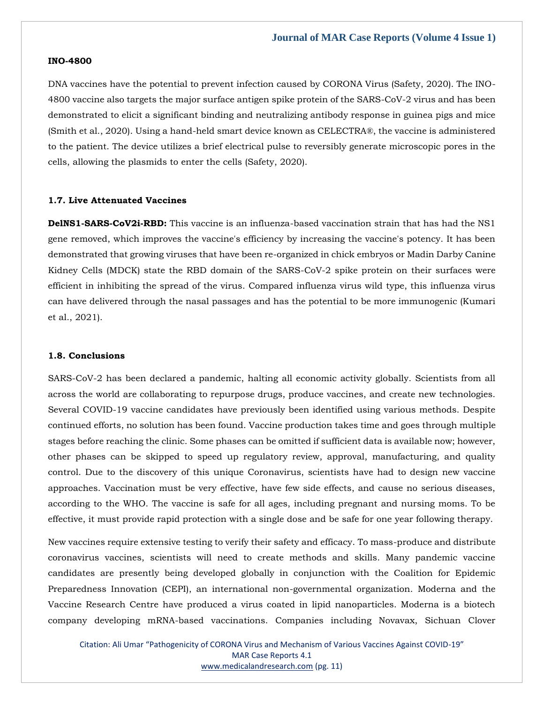#### **INO-4800**

DNA vaccines have the potential to prevent infection caused by CORONA Virus (Safety, 2020). The INO-4800 vaccine also targets the major surface antigen spike protein of the SARS-CoV-2 virus and has been demonstrated to elicit a significant binding and neutralizing antibody response in guinea pigs and mice (Smith et al., 2020). Using a hand-held smart device known as CELECTRA®, the vaccine is administered to the patient. The device utilizes a brief electrical pulse to reversibly generate microscopic pores in the cells, allowing the plasmids to enter the cells (Safety, 2020).

## **1.7. Live Attenuated Vaccines**

**DelNS1-SARS-CoV2i-RBD:** This vaccine is an influenza-based vaccination strain that has had the NS1 gene removed, which improves the vaccine's efficiency by increasing the vaccine's potency. It has been demonstrated that growing viruses that have been re-organized in chick embryos or Madin Darby Canine Kidney Cells (MDCK) state the RBD domain of the SARS-CoV-2 spike protein on their surfaces were efficient in inhibiting the spread of the virus. Compared influenza virus wild type, this influenza virus can have delivered through the nasal passages and has the potential to be more immunogenic (Kumari et al., 2021).

#### **1.8. Conclusions**

SARS-CoV-2 has been declared a pandemic, halting all economic activity globally. Scientists from all across the world are collaborating to repurpose drugs, produce vaccines, and create new technologies. Several COVID-19 vaccine candidates have previously been identified using various methods. Despite continued efforts, no solution has been found. Vaccine production takes time and goes through multiple stages before reaching the clinic. Some phases can be omitted if sufficient data is available now; however, other phases can be skipped to speed up regulatory review, approval, manufacturing, and quality control. Due to the discovery of this unique Coronavirus, scientists have had to design new vaccine approaches. Vaccination must be very effective, have few side effects, and cause no serious diseases, according to the WHO. The vaccine is safe for all ages, including pregnant and nursing moms. To be effective, it must provide rapid protection with a single dose and be safe for one year following therapy.

New vaccines require extensive testing to verify their safety and efficacy. To mass-produce and distribute coronavirus vaccines, scientists will need to create methods and skills. Many pandemic vaccine candidates are presently being developed globally in conjunction with the Coalition for Epidemic Preparedness Innovation (CEPI), an international non-governmental organization. Moderna and the Vaccine Research Centre have produced a virus coated in lipid nanoparticles. Moderna is a biotech company developing mRNA-based vaccinations. Companies including Novavax, Sichuan Clover

Citation: Ali Umar "Pathogenicity of CORONA Virus and Mechanism of Various Vaccines Against COVID-19" MAR Case Reports 4.1 [www.medicalandresearch.com](http://www.medicalandresearch.com/) (pg. 11)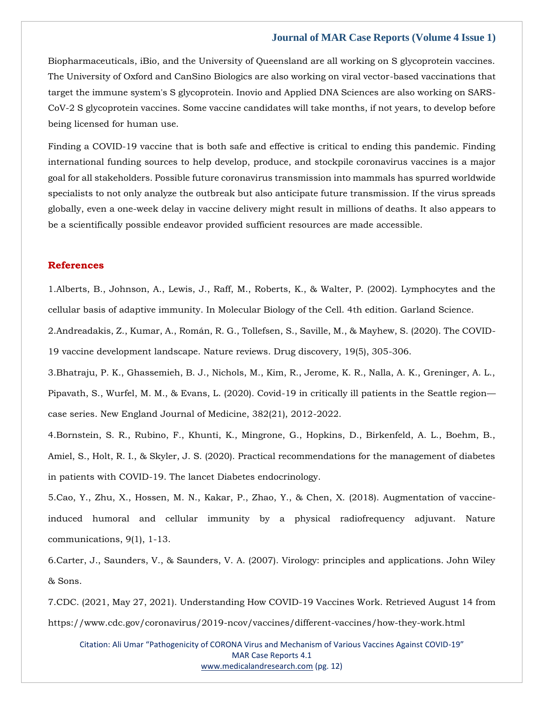Biopharmaceuticals, iBio, and the University of Queensland are all working on S glycoprotein vaccines. The University of Oxford and CanSino Biologics are also working on viral vector-based vaccinations that target the immune system's S glycoprotein. Inovio and Applied DNA Sciences are also working on SARS-CoV-2 S glycoprotein vaccines. Some vaccine candidates will take months, if not years, to develop before being licensed for human use.

Finding a COVID-19 vaccine that is both safe and effective is critical to ending this pandemic. Finding international funding sources to help develop, produce, and stockpile coronavirus vaccines is a major goal for all stakeholders. Possible future coronavirus transmission into mammals has spurred worldwide specialists to not only analyze the outbreak but also anticipate future transmission. If the virus spreads globally, even a one-week delay in vaccine delivery might result in millions of deaths. It also appears to be a scientifically possible endeavor provided sufficient resources are made accessible.

## **References**

1.Alberts, B., Johnson, A., Lewis, J., Raff, M., Roberts, K., & Walter, P. (2002). Lymphocytes and the cellular basis of adaptive immunity. In Molecular Biology of the Cell. 4th edition. Garland Science.

2.Andreadakis, Z., Kumar, A., Román, R. G., Tollefsen, S., Saville, M., & Mayhew, S. (2020). The COVID-19 vaccine development landscape. Nature reviews. Drug discovery, 19(5), 305-306.

3.Bhatraju, P. K., Ghassemieh, B. J., Nichols, M., Kim, R., Jerome, K. R., Nalla, A. K., Greninger, A. L., Pipavath, S., Wurfel, M. M., & Evans, L. (2020). Covid-19 in critically ill patients in the Seattle region case series. New England Journal of Medicine, 382(21), 2012-2022.

4.Bornstein, S. R., Rubino, F., Khunti, K., Mingrone, G., Hopkins, D., Birkenfeld, A. L., Boehm, B., Amiel, S., Holt, R. I., & Skyler, J. S. (2020). Practical recommendations for the management of diabetes in patients with COVID-19. The lancet Diabetes endocrinology.

5.Cao, Y., Zhu, X., Hossen, M. N., Kakar, P., Zhao, Y., & Chen, X. (2018). Augmentation of vaccineinduced humoral and cellular immunity by a physical radiofrequency adjuvant. Nature communications, 9(1), 1-13.

6.Carter, J., Saunders, V., & Saunders, V. A. (2007). Virology: principles and applications. John Wiley & Sons.

7.CDC. (2021, May 27, 2021). Understanding How COVID-19 Vaccines Work. Retrieved August 14 from https://www.cdc.gov/coronavirus/2019-ncov/vaccines/different-vaccines/how-they-work.html

Citation: Ali Umar "Pathogenicity of CORONA Virus and Mechanism of Various Vaccines Against COVID-19" MAR Case Reports 4.1 [www.medicalandresearch.com](http://www.medicalandresearch.com/) (pg. 12)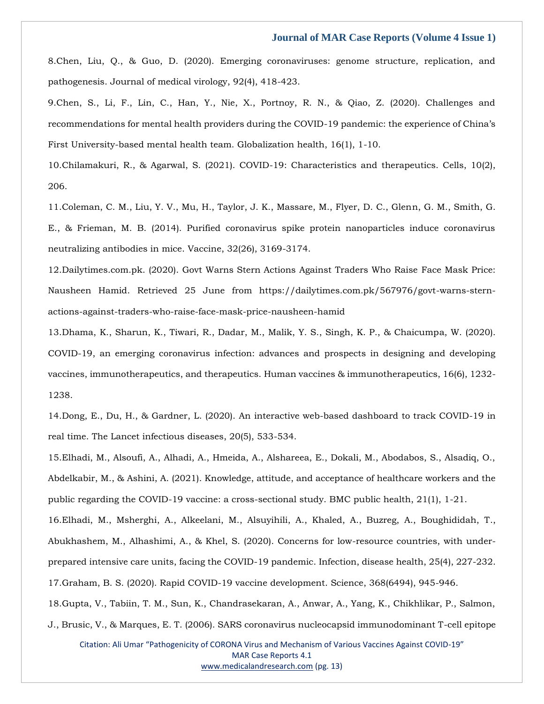8.Chen, Liu, Q., & Guo, D. (2020). Emerging coronaviruses: genome structure, replication, and pathogenesis. Journal of medical virology, 92(4), 418-423.

9.Chen, S., Li, F., Lin, C., Han, Y., Nie, X., Portnoy, R. N., & Qiao, Z. (2020). Challenges and recommendations for mental health providers during the COVID-19 pandemic: the experience of China's First University-based mental health team. Globalization health, 16(1), 1-10.

10.Chilamakuri, R., & Agarwal, S. (2021). COVID-19: Characteristics and therapeutics. Cells, 10(2), 206.

11.Coleman, C. M., Liu, Y. V., Mu, H., Taylor, J. K., Massare, M., Flyer, D. C., Glenn, G. M., Smith, G. E., & Frieman, M. B. (2014). Purified coronavirus spike protein nanoparticles induce coronavirus neutralizing antibodies in mice. Vaccine, 32(26), 3169-3174.

12.Dailytimes.com.pk. (2020). Govt Warns Stern Actions Against Traders Who Raise Face Mask Price: Nausheen Hamid. Retrieved 25 June from https://dailytimes.com.pk/567976/govt-warns-sternactions-against-traders-who-raise-face-mask-price-nausheen-hamid

13.Dhama, K., Sharun, K., Tiwari, R., Dadar, M., Malik, Y. S., Singh, K. P., & Chaicumpa, W. (2020). COVID-19, an emerging coronavirus infection: advances and prospects in designing and developing vaccines, immunotherapeutics, and therapeutics. Human vaccines & immunotherapeutics, 16(6), 1232- 1238.

14.Dong, E., Du, H., & Gardner, L. (2020). An interactive web-based dashboard to track COVID-19 in real time. The Lancet infectious diseases, 20(5), 533-534.

15.Elhadi, M., Alsoufi, A., Alhadi, A., Hmeida, A., Alshareea, E., Dokali, M., Abodabos, S., Alsadiq, O., Abdelkabir, M., & Ashini, A. (2021). Knowledge, attitude, and acceptance of healthcare workers and the public regarding the COVID-19 vaccine: a cross-sectional study. BMC public health, 21(1), 1-21.

16.Elhadi, M., Msherghi, A., Alkeelani, M., Alsuyihili, A., Khaled, A., Buzreg, A., Boughididah, T., Abukhashem, M., Alhashimi, A., & Khel, S. (2020). Concerns for low-resource countries, with underprepared intensive care units, facing the COVID-19 pandemic. Infection, disease health, 25(4), 227-232. 17.Graham, B. S. (2020). Rapid COVID-19 vaccine development. Science, 368(6494), 945-946.

18.Gupta, V., Tabiin, T. M., Sun, K., Chandrasekaran, A., Anwar, A., Yang, K., Chikhlikar, P., Salmon, J., Brusic, V., & Marques, E. T. (2006). SARS coronavirus nucleocapsid immunodominant T-cell epitope

Citation: Ali Umar "Pathogenicity of CORONA Virus and Mechanism of Various Vaccines Against COVID-19" MAR Case Reports 4.1 [www.medicalandresearch.com](http://www.medicalandresearch.com/) (pg. 13)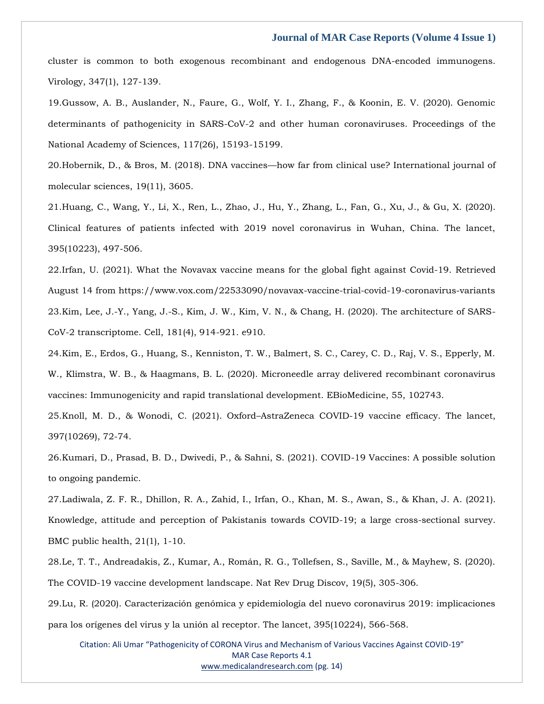cluster is common to both exogenous recombinant and endogenous DNA-encoded immunogens. Virology, 347(1), 127-139.

19.Gussow, A. B., Auslander, N., Faure, G., Wolf, Y. I., Zhang, F., & Koonin, E. V. (2020). Genomic determinants of pathogenicity in SARS-CoV-2 and other human coronaviruses. Proceedings of the National Academy of Sciences, 117(26), 15193-15199.

20.Hobernik, D., & Bros, M. (2018). DNA vaccines—how far from clinical use? International journal of molecular sciences, 19(11), 3605.

21.Huang, C., Wang, Y., Li, X., Ren, L., Zhao, J., Hu, Y., Zhang, L., Fan, G., Xu, J., & Gu, X. (2020). Clinical features of patients infected with 2019 novel coronavirus in Wuhan, China. The lancet, 395(10223), 497-506.

22.Irfan, U. (2021). What the Novavax vaccine means for the global fight against Covid-19. Retrieved August 14 from https://www.vox.com/22533090/novavax-vaccine-trial-covid-19-coronavirus-variants 23.Kim, Lee, J.-Y., Yang, J.-S., Kim, J. W., Kim, V. N., & Chang, H. (2020). The architecture of SARS-CoV-2 transcriptome. Cell, 181(4), 914-921. e910.

24.Kim, E., Erdos, G., Huang, S., Kenniston, T. W., Balmert, S. C., Carey, C. D., Raj, V. S., Epperly, M. W., Klimstra, W. B., & Haagmans, B. L. (2020). Microneedle array delivered recombinant coronavirus vaccines: Immunogenicity and rapid translational development. EBioMedicine, 55, 102743.

25.Knoll, M. D., & Wonodi, C. (2021). Oxford–AstraZeneca COVID-19 vaccine efficacy. The lancet, 397(10269), 72-74.

26.Kumari, D., Prasad, B. D., Dwivedi, P., & Sahni, S. (2021). COVID-19 Vaccines: A possible solution to ongoing pandemic.

27.Ladiwala, Z. F. R., Dhillon, R. A., Zahid, I., Irfan, O., Khan, M. S., Awan, S., & Khan, J. A. (2021). Knowledge, attitude and perception of Pakistanis towards COVID-19; a large cross-sectional survey. BMC public health, 21(1), 1-10.

28.Le, T. T., Andreadakis, Z., Kumar, A., Román, R. G., Tollefsen, S., Saville, M., & Mayhew, S. (2020). The COVID-19 vaccine development landscape. Nat Rev Drug Discov, 19(5), 305-306.

29.Lu, R. (2020). Caracterización genómica y epidemiología del nuevo coronavirus 2019: implicaciones para los orígenes del virus y la unión al receptor. The lancet, 395(10224), 566-568.

Citation: Ali Umar "Pathogenicity of CORONA Virus and Mechanism of Various Vaccines Against COVID-19" MAR Case Reports 4.1 [www.medicalandresearch.com](http://www.medicalandresearch.com/) (pg. 14)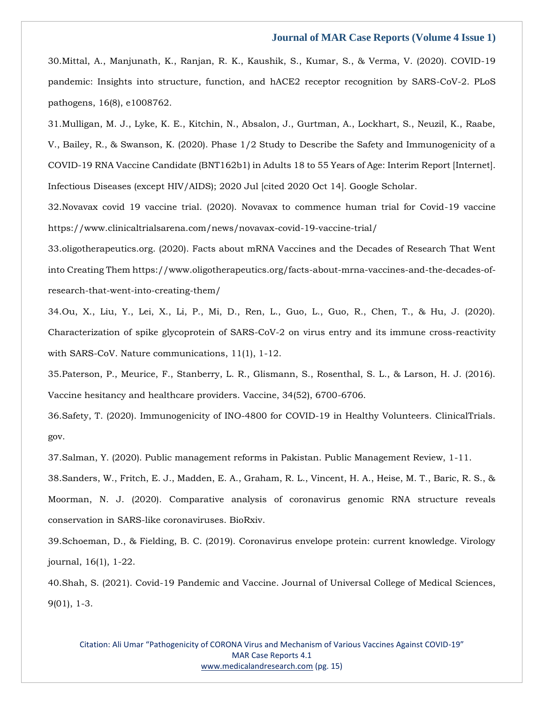30.Mittal, A., Manjunath, K., Ranjan, R. K., Kaushik, S., Kumar, S., & Verma, V. (2020). COVID-19 pandemic: Insights into structure, function, and hACE2 receptor recognition by SARS-CoV-2. PLoS pathogens, 16(8), e1008762.

31.Mulligan, M. J., Lyke, K. E., Kitchin, N., Absalon, J., Gurtman, A., Lockhart, S., Neuzil, K., Raabe, V., Bailey, R., & Swanson, K. (2020). Phase 1/2 Study to Describe the Safety and Immunogenicity of a COVID-19 RNA Vaccine Candidate (BNT162b1) in Adults 18 to 55 Years of Age: Interim Report [Internet]. Infectious Diseases (except HIV/AIDS); 2020 Jul [cited 2020 Oct 14]. Google Scholar.

32.Novavax covid 19 vaccine trial. (2020). Novavax to commence human trial for Covid-19 vaccine https://www.clinicaltrialsarena.com/news/novavax-covid-19-vaccine-trial/

33.oligotherapeutics.org. (2020). Facts about mRNA Vaccines and the Decades of Research That Went into Creating Them https://www.oligotherapeutics.org/facts-about-mrna-vaccines-and-the-decades-ofresearch-that-went-into-creating-them/

34.Ou, X., Liu, Y., Lei, X., Li, P., Mi, D., Ren, L., Guo, L., Guo, R., Chen, T., & Hu, J. (2020). Characterization of spike glycoprotein of SARS-CoV-2 on virus entry and its immune cross-reactivity with SARS-CoV. Nature communications, 11(1), 1-12.

35.Paterson, P., Meurice, F., Stanberry, L. R., Glismann, S., Rosenthal, S. L., & Larson, H. J. (2016). Vaccine hesitancy and healthcare providers. Vaccine, 34(52), 6700-6706.

36.Safety, T. (2020). Immunogenicity of INO-4800 for COVID-19 in Healthy Volunteers. ClinicalTrials. gov.

37.Salman, Y. (2020). Public management reforms in Pakistan. Public Management Review, 1-11.

38.Sanders, W., Fritch, E. J., Madden, E. A., Graham, R. L., Vincent, H. A., Heise, M. T., Baric, R. S., & Moorman, N. J. (2020). Comparative analysis of coronavirus genomic RNA structure reveals conservation in SARS-like coronaviruses. BioRxiv.

39.Schoeman, D., & Fielding, B. C. (2019). Coronavirus envelope protein: current knowledge. Virology journal, 16(1), 1-22.

40.Shah, S. (2021). Covid-19 Pandemic and Vaccine. Journal of Universal College of Medical Sciences, 9(01), 1-3.

Citation: Ali Umar "Pathogenicity of CORONA Virus and Mechanism of Various Vaccines Against COVID-19" MAR Case Reports 4.1 [www.medicalandresearch.com](http://www.medicalandresearch.com/) (pg. 15)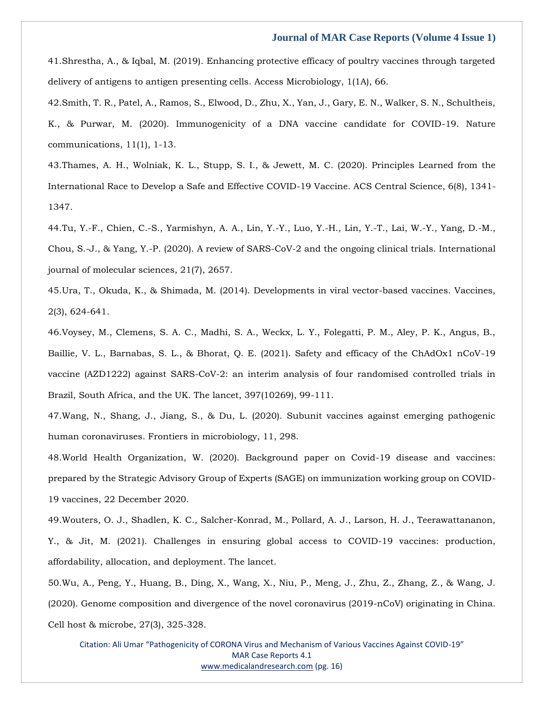41.Shrestha, A., & Iqbal, M. (2019). Enhancing protective efficacy of poultry vaccines through targeted delivery of antigens to antigen presenting cells. Access Microbiology, 1(1A), 66.

42.Smith, T. R., Patel, A., Ramos, S., Elwood, D., Zhu, X., Yan, J., Gary, E. N., Walker, S. N., Schultheis, K., & Purwar, M. (2020). Immunogenicity of a DNA vaccine candidate for COVID-19. Nature communications, 11(1), 1-13.

43.Thames, A. H., Wolniak, K. L., Stupp, S. I., & Jewett, M. C. (2020). Principles Learned from the International Race to Develop a Safe and Effective COVID-19 Vaccine. ACS Central Science, 6(8), 1341- 1347.

44.Tu, Y.-F., Chien, C.-S., Yarmishyn, A. A., Lin, Y.-Y., Luo, Y.-H., Lin, Y.-T., Lai, W.-Y., Yang, D.-M., Chou, S.-J., & Yang, Y.-P. (2020). A review of SARS-CoV-2 and the ongoing clinical trials. International journal of molecular sciences, 21(7), 2657.

45.Ura, T., Okuda, K., & Shimada, M. (2014). Developments in viral vector-based vaccines. Vaccines, 2(3), 624-641.

46.Voysey, M., Clemens, S. A. C., Madhi, S. A., Weckx, L. Y., Folegatti, P. M., Aley, P. K., Angus, B., Baillie, V. L., Barnabas, S. L., & Bhorat, Q. E. (2021). Safety and efficacy of the ChAdOx1 nCoV-19 vaccine (AZD1222) against SARS-CoV-2: an interim analysis of four randomised controlled trials in Brazil, South Africa, and the UK. The lancet, 397(10269), 99-111.

47.Wang, N., Shang, J., Jiang, S., & Du, L. (2020). Subunit vaccines against emerging pathogenic human coronaviruses. Frontiers in microbiology, 11, 298.

48.World Health Organization, W. (2020). Background paper on Covid-19 disease and vaccines: prepared by the Strategic Advisory Group of Experts (SAGE) on immunization working group on COVID-19 vaccines, 22 December 2020.

49.Wouters, O. J., Shadlen, K. C., Salcher-Konrad, M., Pollard, A. J., Larson, H. J., Teerawattananon, Y., & Jit, M. (2021). Challenges in ensuring global access to COVID-19 vaccines: production, affordability, allocation, and deployment. The lancet.

50.Wu, A., Peng, Y., Huang, B., Ding, X., Wang, X., Niu, P., Meng, J., Zhu, Z., Zhang, Z., & Wang, J. (2020). Genome composition and divergence of the novel coronavirus (2019-nCoV) originating in China. Cell host & microbe, 27(3), 325-328.

Citation: Ali Umar "Pathogenicity of CORONA Virus and Mechanism of Various Vaccines Against COVID-19" MAR Case Reports 4.1 [www.medicalandresearch.com](http://www.medicalandresearch.com/) (pg. 16)